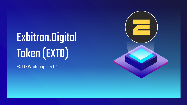# Exbitron.Digital Token (EXTO)

EXTO Whitepaper v1.1

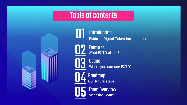### Table of contents



[01](#page-2-0) Exbitron Digital Token Introduction **Introduction** 

> **Features** What EXTO offers?

Usage  $\bigcup$   $\bigcup$   $\bigcup$  where you can use EXTO?

> Our future steps! **Roadmap**

Meet the Team! **Team Overview**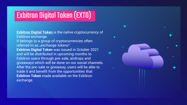## <span id="page-2-0"></span>**Exbitron Digital Token (EXTO)**

**Exbitron Digital Token** is the native cryptocurrency of Exbitron exchange. It belongs to a group of cryptocurrencies often referred to as "exchange tokens". **Exbitron Digital Token** was issued in October 2021 and will be distributed in upcoming months to Exbitron users through pre-sale, airdrops and giveaways which will be done on our social channels. After the pre-sale or giveaway, users will be able to trade it and benefit from the opportunities that **Exbitron Token** made available on the Exbitron exchange.

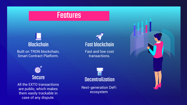### **Features**

# <span id="page-3-0"></span>**Blockchain**

Built on TRON blockchain, Smart Contract Platform.

**Fast blockchain** 

Fast and low cost transactions.



All the EXTO transactions are public, which makes them easily trackable in case of any dispute.



Next-generation DeFi ecosystem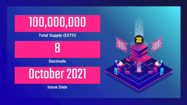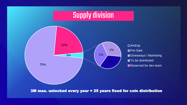

3M max. unlocked every year = 25 years fixed for coin distribution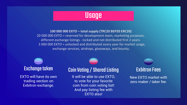

### <span id="page-6-0"></span>**100 000 000 EXTO – total supply (TRC20 BEP20 ERC20)**  20 000 000 EXTO = reserved for development team, marketing purposes, different exchange listings - locked and not distributed first 2 years. 3 000 000 EXTO = unlocked and distributed every year for market usage, exchange services, airdrops, giveaways, and bounty.

### Exchange token

EXTO will have its own trading section on Exbitron exchange.

### CoinVoting/ Shared Listing

It will be able to use EXTO, to vote for your favorite coin from coin voting list! And pay listing fee with EXTO also!

### **Exbitron Fees**

New EXTO market with zero maker / taker fee.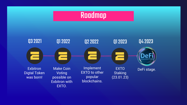

<span id="page-7-0"></span>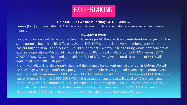

### **On 23.01.2023 we are launching EXTO-STAKING.**

Freeze (lock) your available EXTO tokens on Exbitron.com to stake wallet and receive rewards every month.

### **How does it work?**

Every exchange is built to be profitable and to make profit. We are classic centralized exchange with the same purpose but a little bit different. We, on EXBITRON, appreciate every member, every miner that has put huge trust in us and helped us build our projects. We would like to bring whole new concept of exchange operations. We would like to share up to 40% of real profit of our EXBITRON among EXTO-STAKERS. Buy EXTO, stake it and get paid in USDT of BTC. Every year's total circulation of EXTO will equal to 40% of EXBITRON profit.

Monthly profit will be always published and the formula for current month profit distribution. We will be exchange where you don't only put your money but where you get paid by making us profit. Every year there will be maximum 3 000 000 new EXTO added to circulation so the first year of EXTO-STAKING launch there will be max 6 000 000 EXTO in the circulation and those will equal to 40% of exchange profit. Every year the amount of EXTO in circulation can raise up to 3 000 000. We choose this formula to slowly unlock tokens to match the needed liquidity. Each new year, more EXTO will be needed to acquire up to 40% of exchange profit, but every year the profit of Exbitron will grow.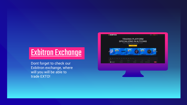## **Exbitron Exchange**

Dont forget to check our Exbitron exchange, where will you will be able to trade EXTO!

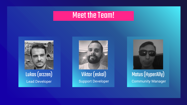### **Meet the Team!**

<span id="page-10-0"></span>

Lead Developer Lukas(arzzen)





### Support Developer Community Manager Viktor (eskal) Matus (HyperAlly)